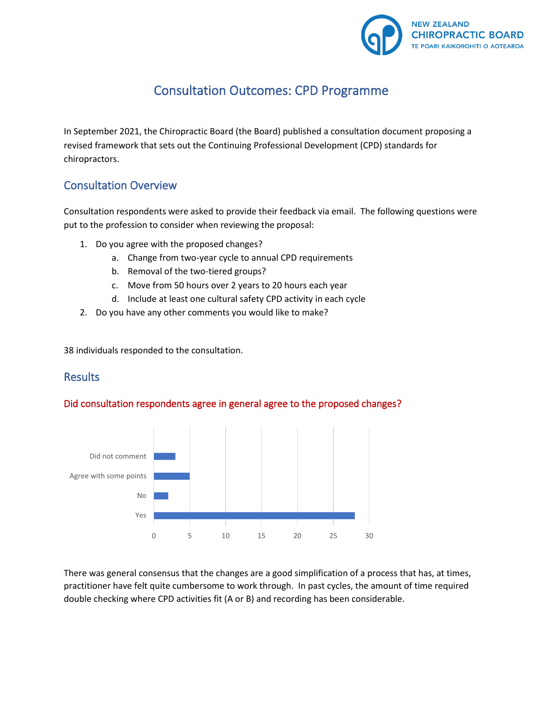

# Consultation Outcomes: CPD Programme

In September 2021, the Chiropractic Board (the Board) published a consultation document proposing a revised framework that sets out the Continuing Professional Development (CPD) standards for chiropractors.

### Consultation Overview

Consultation respondents were asked to provide their feedback via email. The following questions were put to the profession to consider when reviewing the proposal:

- 1. Do you agree with the proposed changes?
	- a. Change from two-year cycle to annual CPD requirements
	- b. Removal of the two-tiered groups?
	- c. Move from 50 hours over 2 years to 20 hours each year
	- d. Include at least one cultural safety CPD activity in each cycle
- 2. Do you have any other comments you would like to make?

38 individuals responded to the consultation.

### **Results**

### Did consultation respondents agree in general agree to the proposed changes?



There was general consensus that the changes are a good simplification of a process that has, at times, practitioner have felt quite cumbersome to work through. In past cycles, the amount of time required double checking where CPD activities fit (A or B) and recording has been considerable.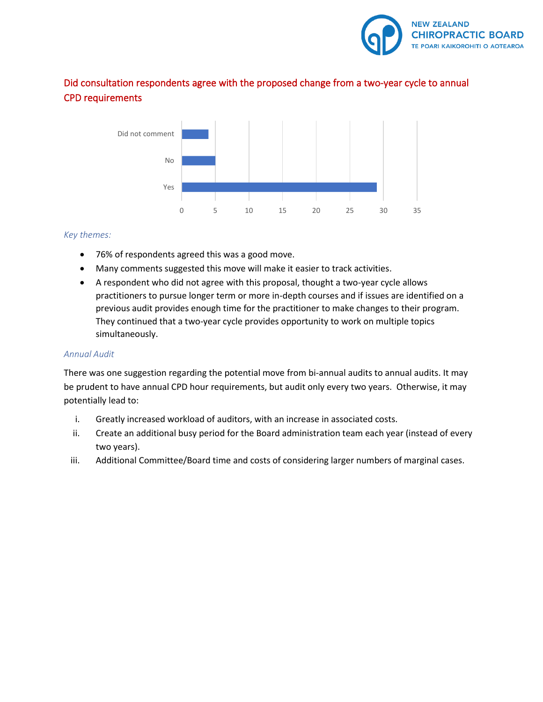

### Did consultation respondents agree with the proposed change from a two-year cycle to annual CPD requirements



#### *Key themes:*

- 76% of respondents agreed this was a good move.
- Many comments suggested this move will make it easier to track activities.
- A respondent who did not agree with this proposal, thought a two-year cycle allows practitioners to pursue longer term or more in-depth courses and if issues are identified on a previous audit provides enough time for the practitioner to make changes to their program. They continued that a two-year cycle provides opportunity to work on multiple topics simultaneously.

#### *Annual Audit*

There was one suggestion regarding the potential move from bi-annual audits to annual audits. It may be prudent to have annual CPD hour requirements, but audit only every two years. Otherwise, it may potentially lead to:

- i. Greatly increased workload of auditors, with an increase in associated costs.
- ii. Create an additional busy period for the Board administration team each year (instead of every two years).
- iii. Additional Committee/Board time and costs of considering larger numbers of marginal cases.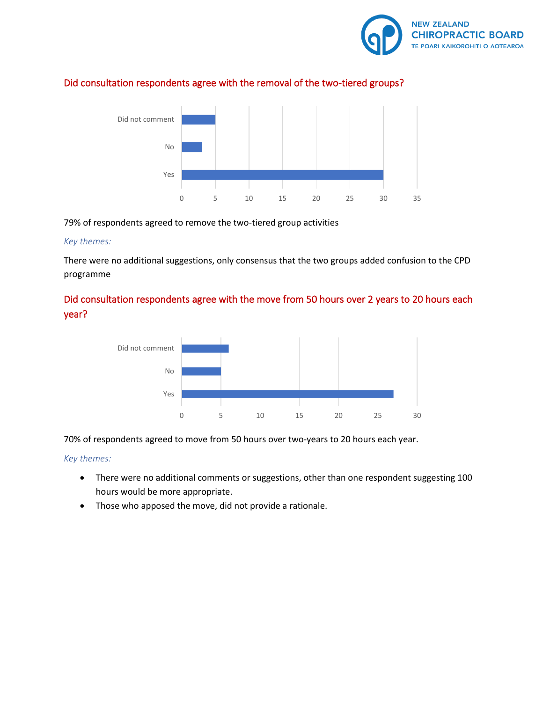

### Did consultation respondents agree with the removal of the two-tiered groups?



79% of respondents agreed to remove the two-tiered group activities

#### *Key themes:*

There were no additional suggestions, only consensus that the two groups added confusion to the CPD programme

### Did consultation respondents agree with the move from 50 hours over 2 years to 20 hours each year?



70% of respondents agreed to move from 50 hours over two-years to 20 hours each year.

#### *Key themes:*

- There were no additional comments or suggestions, other than one respondent suggesting 100 hours would be more appropriate.
- Those who apposed the move, did not provide a rationale.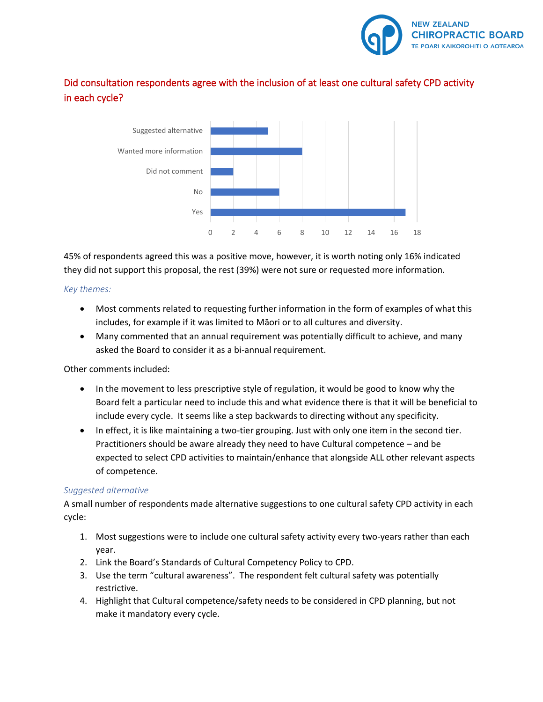

### Did consultation respondents agree with the inclusion of at least one cultural safety CPD activity in each cycle?



45% of respondents agreed this was a positive move, however, it is worth noting only 16% indicated they did not support this proposal, the rest (39%) were not sure or requested more information.

#### *Key themes:*

- Most comments related to requesting further information in the form of examples of what this includes, for example if it was limited to Māori or to all cultures and diversity.
- Many commented that an annual requirement was potentially difficult to achieve, and many asked the Board to consider it as a bi-annual requirement.

### Other comments included:

- In the movement to less prescriptive style of regulation, it would be good to know why the Board felt a particular need to include this and what evidence there is that it will be beneficial to include every cycle. It seems like a step backwards to directing without any specificity.
- In effect, it is like maintaining a two-tier grouping. Just with only one item in the second tier. Practitioners should be aware already they need to have Cultural competence – and be expected to select CPD activities to maintain/enhance that alongside ALL other relevant aspects of competence.

### *Suggested alternative*

A small number of respondents made alternative suggestions to one cultural safety CPD activity in each cycle:

- 1. Most suggestions were to include one cultural safety activity every two-years rather than each year.
- 2. Link the Board's Standards of Cultural Competency Policy to CPD.
- 3. Use the term "cultural awareness". The respondent felt cultural safety was potentially restrictive.
- 4. Highlight that Cultural competence/safety needs to be considered in CPD planning, but not make it mandatory every cycle.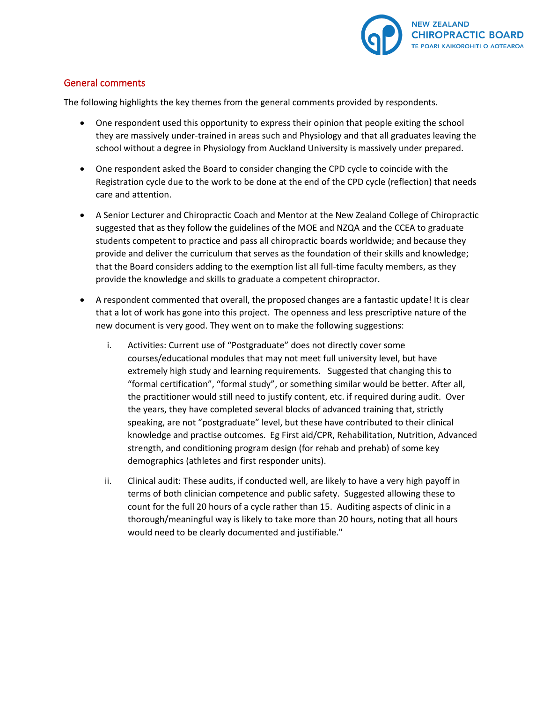

### General comments

The following highlights the key themes from the general comments provided by respondents.

- One respondent used this opportunity to express their opinion that people exiting the school they are massively under-trained in areas such and Physiology and that all graduates leaving the school without a degree in Physiology from Auckland University is massively under prepared.
- One respondent asked the Board to consider changing the CPD cycle to coincide with the Registration cycle due to the work to be done at the end of the CPD cycle (reflection) that needs care and attention.
- A Senior Lecturer and Chiropractic Coach and Mentor at the New Zealand College of Chiropractic suggested that as they follow the guidelines of the MOE and NZQA and the CCEA to graduate students competent to practice and pass all chiropractic boards worldwide; and because they provide and deliver the curriculum that serves as the foundation of their skills and knowledge; that the Board considers adding to the exemption list all full-time faculty members, as they provide the knowledge and skills to graduate a competent chiropractor.
- A respondent commented that overall, the proposed changes are a fantastic update! It is clear that a lot of work has gone into this project. The openness and less prescriptive nature of the new document is very good. They went on to make the following suggestions:
	- i. Activities: Current use of "Postgraduate" does not directly cover some courses/educational modules that may not meet full university level, but have extremely high study and learning requirements. Suggested that changing this to "formal certification", "formal study", or something similar would be better. After all, the practitioner would still need to justify content, etc. if required during audit. Over the years, they have completed several blocks of advanced training that, strictly speaking, are not "postgraduate" level, but these have contributed to their clinical knowledge and practise outcomes. Eg First aid/CPR, Rehabilitation, Nutrition, Advanced strength, and conditioning program design (for rehab and prehab) of some key demographics (athletes and first responder units).
	- ii. Clinical audit: These audits, if conducted well, are likely to have a very high payoff in terms of both clinician competence and public safety. Suggested allowing these to count for the full 20 hours of a cycle rather than 15. Auditing aspects of clinic in a thorough/meaningful way is likely to take more than 20 hours, noting that all hours would need to be clearly documented and justifiable."